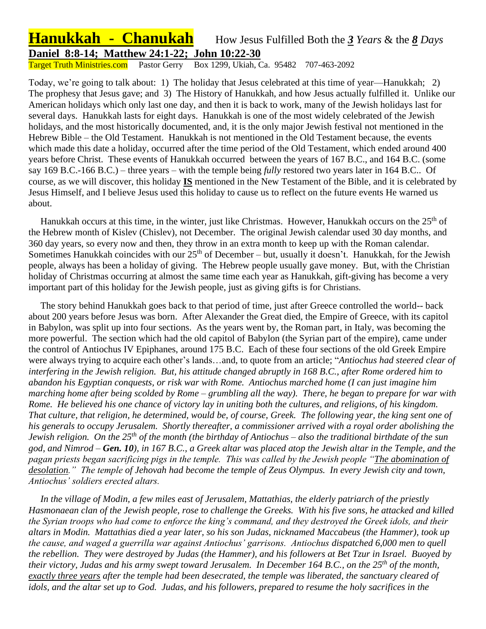## **Hanukkah - Chanukah** How Jesus Fulfilled Both the *3 Years* & the *8 Days* **Daniel 8:8-14; Matthew 24:1-22; John 10:22-30**

Target Truth Ministries.com Pastor Gerry Box 1299, Ukiah, Ca. 95482 707-463-2092

Today, we're going to talk about: 1) The holiday that Jesus celebrated at this time of year—Hanukkah; 2) The prophesy that Jesus gave; and 3) The History of Hanukkah, and how Jesus actually fulfilled it. Unlike our American holidays which only last one day, and then it is back to work, many of the Jewish holidays last for several days. Hanukkah lasts for eight days. Hanukkah is one of the most widely celebrated of the Jewish holidays, and the most historically documented, and, it is the only major Jewish festival not mentioned in the Hebrew Bible – the Old Testament. Hanukkah is not mentioned in the Old Testament because, the events which made this date a holiday, occurred after the time period of the Old Testament, which ended around 400 years before Christ. These events of Hanukkah occurred between the years of 167 B.C., and 164 B.C. (some say 169 B.C.-166 B.C.) – three years – with the temple being *fully* restored two years later in 164 B.C.. Of course, as we will discover, this holiday **IS** mentioned in the New Testament of the Bible, and it is celebrated by Jesus Himself, and I believe Jesus used this holiday to cause us to reflect on the future events He warned us about.

Hanukkah occurs at this time, in the winter, just like Christmas. However, Hanukkah occurs on the 25<sup>th</sup> of the Hebrew month of Kislev (Chislev), not December. The original Jewish calendar used 30 day months, and 360 day years, so every now and then, they throw in an extra month to keep up with the Roman calendar. Sometimes Hanukkah coincides with our  $25<sup>th</sup>$  of December – but, usually it doesn't. Hanukkah, for the Jewish people, always has been a holiday of giving. The Hebrew people usually gave money. But, with the Christian holiday of Christmas occurring at almost the same time each year as Hanukkah, gift-giving has become a very important part of this holiday for the Jewish people, just as giving gifts is for Christians.

 The story behind Hanukkah goes back to that period of time, just after Greece controlled the world-- back about 200 years before Jesus was born. After Alexander the Great died, the Empire of Greece, with its capitol in Babylon, was split up into four sections. As the years went by, the Roman part, in Italy, was becoming the more powerful. The section which had the old capitol of Babylon (the Syrian part of the empire), came under the control of Antiochus IV Epiphanes, around 175 B.C. Each of these four sections of the old Greek Empire were always trying to acquire each other's lands…and, to quote from an article; "*Antiochus had steered clear of interfering in the Jewish religion. But, his attitude changed abruptly in 168 B.C., after Rome ordered him to abandon his Egyptian conquests, or risk war with Rome. Antiochus marched home (I can just imagine him marching home after being scolded by Rome – grumbling all the way). There, he began to prepare for war with Rome. He believed his one chance of victory lay in uniting both the cultures, and religions, of his kingdom. That culture, that religion, he determined, would be, of course, Greek. The following year, the king sent one of his generals to occupy Jerusalem. Shortly thereafter, a commissioner arrived with a royal order abolishing the Jewish religion. On the 25th of the month (the birthday of Antiochus – also the traditional birthdate of the sun god, and Nimrod – Gen. 10), in 167 B.C., a Greek altar was placed atop the Jewish altar in the Temple, and the pagan priests began sacrificing pigs in the temple. This was called by the Jewish people "The abomination of desolation." The temple of Jehovah had become the temple of Zeus Olympus. In every Jewish city and town, Antiochus' soldiers erected altars.* 

 *In the village of Modin, a few miles east of Jerusalem, Mattathias, the elderly patriarch of the priestly Hasmonaean clan of the Jewish people, rose to challenge the Greeks. With his five sons, he attacked and killed the Syrian troops who had come to enforce the king's command, and they destroyed the Greek idols, and their altars in Modin. Mattathias died a year later, so his son Judas, nicknamed Maccabeus (the Hammer), took up the cause, and waged a guerrilla war against Antiochus' garrisons. Antiochus dispatched 6,000 men to quell the rebellion. They were destroyed by Judas (the Hammer), and his followers at Bet Tzur in Israel. Buoyed by their victory, Judas and his army swept toward Jerusalem. In December 164 B.C., on the 25th of the month, exactly three years after the temple had been desecrated, the temple was liberated, the sanctuary cleared of idols, and the altar set up to God. Judas, and his followers, prepared to resume the holy sacrifices in the*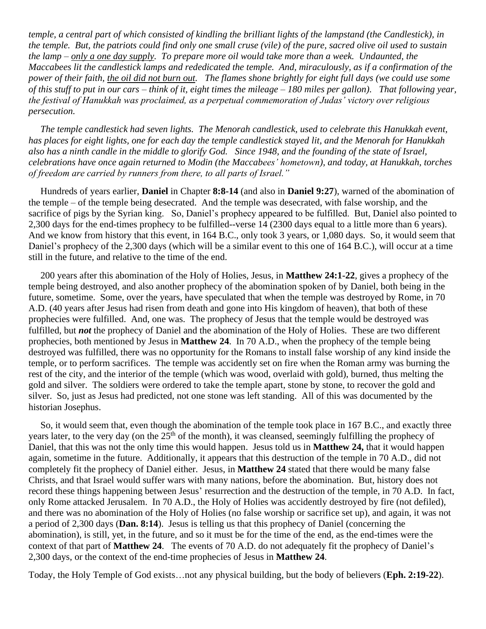*temple, a central part of which consisted of kindling the brilliant lights of the lampstand (the Candlestick), in the temple. But, the patriots could find only one small cruse (vile) of the pure, sacred olive oil used to sustain the lamp – only a one day supply. To prepare more oil would take more than a week. Undaunted, the Maccabees lit the candlestick lamps and rededicated the temple. And, miraculously, as if a confirmation of the power of their faith, the oil did not burn out. The flames shone brightly for eight full days (we could use some of this stuff to put in our cars – think of it, eight times the mileage – 180 miles per gallon). That following year, the festival of Hanukkah was proclaimed, as a perpetual commemoration of Judas' victory over religious persecution.* 

 *The temple candlestick had seven lights. The Menorah candlestick, used to celebrate this Hanukkah event, has places for eight lights, one for each day the temple candlestick stayed lit, and the Menorah for Hanukkah also has a ninth candle in the middle to glorify God. Since 1948, and the founding of the state of Israel, celebrations have once again returned to Modin (the Maccabees' hometown), and today, at Hanukkah, torches of freedom are carried by runners from there, to all parts of Israel."* 

 Hundreds of years earlier, **Daniel** in Chapter **8:8-14** (and also in **Daniel 9:27**), warned of the abomination of the temple – of the temple being desecrated. And the temple was desecrated, with false worship, and the sacrifice of pigs by the Syrian king. So, Daniel's prophecy appeared to be fulfilled. But, Daniel also pointed to 2,300 days for the end-times prophecy to be fulfilled--verse 14 (2300 days equal to a little more than 6 years). And we know from history that this event, in 164 B.C., only took 3 years, or 1,080 days. So, it would seem that Daniel's prophecy of the 2,300 days (which will be a similar event to this one of 164 B.C.), will occur at a time still in the future, and relative to the time of the end.

 200 years after this abomination of the Holy of Holies, Jesus, in **Matthew 24:1-22**, gives a prophecy of the temple being destroyed, and also another prophecy of the abomination spoken of by Daniel, both being in the future, sometime. Some, over the years, have speculated that when the temple was destroyed by Rome, in 70 A.D. (40 years after Jesus had risen from death and gone into His kingdom of heaven), that both of these prophecies were fulfilled. And, one was. The prophecy of Jesus that the temple would be destroyed was fulfilled, but *not* the prophecy of Daniel and the abomination of the Holy of Holies. These are two different prophecies, both mentioned by Jesus in **Matthew 24**. In 70 A.D., when the prophecy of the temple being destroyed was fulfilled, there was no opportunity for the Romans to install false worship of any kind inside the temple, or to perform sacrifices. The temple was accidently set on fire when the Roman army was burning the rest of the city, and the interior of the temple (which was wood, overlaid with gold), burned, thus melting the gold and silver. The soldiers were ordered to take the temple apart, stone by stone, to recover the gold and silver. So, just as Jesus had predicted, not one stone was left standing. All of this was documented by the historian Josephus.

 So, it would seem that, even though the abomination of the temple took place in 167 B.C., and exactly three years later, to the very day (on the 25<sup>th</sup> of the month), it was cleansed, seemingly fulfilling the prophecy of Daniel, that this was not the only time this would happen. Jesus told us in **Matthew 24,** that it would happen again, sometime in the future. Additionally, it appears that this destruction of the temple in 70 A.D., did not completely fit the prophecy of Daniel either. Jesus, in **Matthew 24** stated that there would be many false Christs, and that Israel would suffer wars with many nations, before the abomination. But, history does not record these things happening between Jesus' resurrection and the destruction of the temple, in 70 A.D. In fact, only Rome attacked Jerusalem. In 70 A.D., the Holy of Holies was accidently destroyed by fire (not defiled), and there was no abomination of the Holy of Holies (no false worship or sacrifice set up), and again, it was not a period of 2,300 days (**Dan. 8:14**). Jesus is telling us that this prophecy of Daniel (concerning the abomination), is still, yet, in the future, and so it must be for the time of the end, as the end-times were the context of that part of **Matthew 24**. The events of 70 A.D. do not adequately fit the prophecy of Daniel's 2,300 days, or the context of the end-time prophecies of Jesus in **Matthew 24**.

Today, the Holy Temple of God exists…not any physical building, but the body of believers (**Eph. 2:19-22**).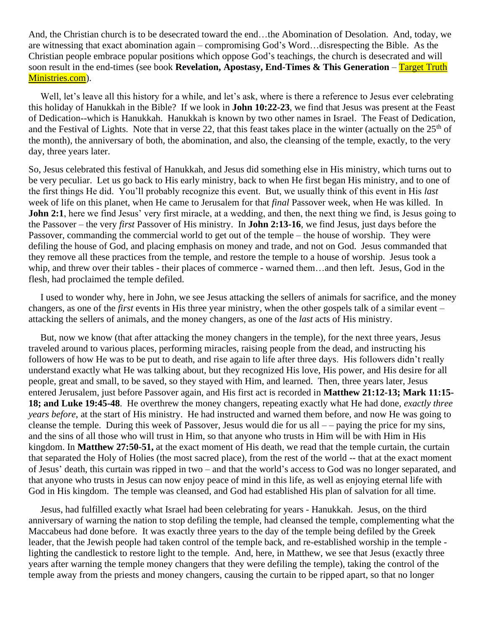And, the Christian church is to be desecrated toward the end...the Abomination of Desolation. And, today, we are witnessing that exact abomination again – compromising God's Word…disrespecting the Bible. As the Christian people embrace popular positions which oppose God's teachings, the church is desecrated and will soon result in the end-times (see book **Revelation, Apostasy, End-Times & This Generation** – Target Truth Ministries.com).

Well, let's leave all this history for a while, and let's ask, where is there a reference to Jesus ever celebrating this holiday of Hanukkah in the Bible? If we look in **John 10:22-23**, we find that Jesus was present at the Feast of Dedication--which is Hanukkah. Hanukkah is known by two other names in Israel. The Feast of Dedication, and the Festival of Lights. Note that in verse 22, that this feast takes place in the winter (actually on the  $25<sup>th</sup>$  of the month), the anniversary of both, the abomination, and also, the cleansing of the temple, exactly, to the very day, three years later.

So, Jesus celebrated this festival of Hanukkah, and Jesus did something else in His ministry, which turns out to be very peculiar. Let us go back to His early ministry, back to when He first began His ministry, and to one of the first things He did. You'll probably recognize this event. But, we usually think of this event in His *last* week of life on this planet, when He came to Jerusalem for that *final* Passover week, when He was killed. In **John 2:1**, here we find Jesus' very first miracle, at a wedding, and then, the next thing we find, is Jesus going to the Passover – the very *first* Passover of His ministry. In **John 2:13-16**, we find Jesus, just days before the Passover, commanding the commercial world to get out of the temple – the house of worship. They were defiling the house of God, and placing emphasis on money and trade, and not on God. Jesus commanded that they remove all these practices from the temple, and restore the temple to a house of worship. Jesus took a whip, and threw over their tables - their places of commerce - warned them...and then left. Jesus, God in the flesh, had proclaimed the temple defiled.

 I used to wonder why, here in John, we see Jesus attacking the sellers of animals for sacrifice, and the money changers, as one of the *first* events in His three year ministry, when the other gospels talk of a similar event – attacking the sellers of animals, and the money changers, as one of the *last* acts of His ministry.

 But, now we know (that after attacking the money changers in the temple), for the next three years, Jesus traveled around to various places, performing miracles, raising people from the dead, and instructing his followers of how He was to be put to death, and rise again to life after three days. His followers didn't really understand exactly what He was talking about, but they recognized His love, His power, and His desire for all people, great and small, to be saved, so they stayed with Him, and learned. Then, three years later, Jesus entered Jerusalem, just before Passover again, and His first act is recorded in **Matthew 21:12-13; Mark 11:15- 18; and Luke 19:45-48**. He overthrew the money changers, repeating exactly what He had done, *exactly three years before*, at the start of His ministry. He had instructed and warned them before, and now He was going to cleanse the temple. During this week of Passover, Jesus would die for us all – – paying the price for my sins, and the sins of all those who will trust in Him, so that anyone who trusts in Him will be with Him in His kingdom. In **Matthew 27:50-51,** at the exact moment of His death, we read that the temple curtain, the curtain that separated the Holy of Holies (the most sacred place), from the rest of the world -- that at the exact moment of Jesus' death, this curtain was ripped in two – and that the world's access to God was no longer separated, and that anyone who trusts in Jesus can now enjoy peace of mind in this life, as well as enjoying eternal life with God in His kingdom. The temple was cleansed, and God had established His plan of salvation for all time.

 Jesus, had fulfilled exactly what Israel had been celebrating for years - Hanukkah. Jesus, on the third anniversary of warning the nation to stop defiling the temple, had cleansed the temple, complementing what the Maccabeus had done before. It was exactly three years to the day of the temple being defiled by the Greek leader, that the Jewish people had taken control of the temple back, and re-established worship in the temple lighting the candlestick to restore light to the temple. And, here, in Matthew, we see that Jesus (exactly three years after warning the temple money changers that they were defiling the temple), taking the control of the temple away from the priests and money changers, causing the curtain to be ripped apart, so that no longer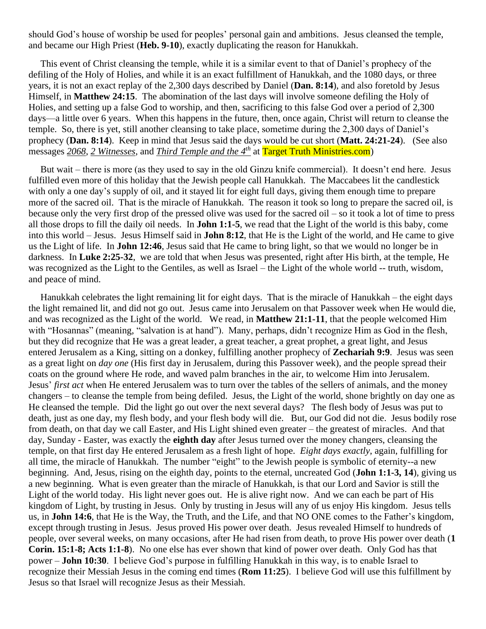should God's house of worship be used for peoples' personal gain and ambitions. Jesus cleansed the temple, and became our High Priest (**Heb. 9-10**), exactly duplicating the reason for Hanukkah.

 This event of Christ cleansing the temple, while it is a similar event to that of Daniel's prophecy of the defiling of the Holy of Holies, and while it is an exact fulfillment of Hanukkah, and the 1080 days, or three years, it is not an exact replay of the 2,300 days described by Daniel (**Dan. 8:14**), and also foretold by Jesus Himself, in **Matthew 24:15**. The abomination of the last days will involve someone defiling the Holy of Holies, and setting up a false God to worship, and then, sacrificing to this false God over a period of 2,300 days—a little over 6 years. When this happens in the future, then, once again, Christ will return to cleanse the temple. So, there is yet, still another cleansing to take place, sometime during the 2,300 days of Daniel's prophecy (**Dan. 8:14**). Keep in mind that Jesus said the days would be cut short (**Matt. 24:21-24**). (See also messages *2068*, *2 Witnesses*, and *Third Temple and the 4th* at Target Truth Ministries.com)

 But wait – there is more (as they used to say in the old Ginzu knife commercial). It doesn't end here. Jesus fulfilled even more of this holiday that the Jewish people call Hanukkah. The Maccabees lit the candlestick with only a one day's supply of oil, and it stayed lit for eight full days, giving them enough time to prepare more of the sacred oil. That is the miracle of Hanukkah. The reason it took so long to prepare the sacred oil, is because only the very first drop of the pressed olive was used for the sacred oil – so it took a lot of time to press all those drops to fill the daily oil needs. In **John 1:1-5**, we read that the Light of the world is this baby, come into this world – Jesus. Jesus Himself said in **John 8:12**, that He is the Light of the world, and He came to give us the Light of life. In **John 12:46**, Jesus said that He came to bring light, so that we would no longer be in darkness. In **Luke 2:25-32**, we are told that when Jesus was presented, right after His birth, at the temple, He was recognized as the Light to the Gentiles, as well as Israel – the Light of the whole world -- truth, wisdom, and peace of mind.

 Hanukkah celebrates the light remaining lit for eight days. That is the miracle of Hanukkah – the eight days the light remained lit, and did not go out. Jesus came into Jerusalem on that Passover week when He would die, and was recognized as the Light of the world. We read, in **Matthew 21:1-11**, that the people welcomed Him with "Hosannas" (meaning, "salvation is at hand"). Many, perhaps, didn't recognize Him as God in the flesh, but they did recognize that He was a great leader, a great teacher, a great prophet, a great light, and Jesus entered Jerusalem as a King, sitting on a donkey, fulfilling another prophecy of **Zechariah 9:9**. Jesus was seen as a great light on *day one* (His first day in Jerusalem, during this Passover week), and the people spread their coats on the ground where He rode, and waved palm branches in the air, to welcome Him into Jerusalem. Jesus' *first act* when He entered Jerusalem was to turn over the tables of the sellers of animals, and the money changers – to cleanse the temple from being defiled. Jesus, the Light of the world, shone brightly on day one as He cleansed the temple. Did the light go out over the next several days? The flesh body of Jesus was put to death, just as one day, my flesh body, and your flesh body will die. But, our God did not die. Jesus bodily rose from death, on that day we call Easter, and His Light shined even greater – the greatest of miracles. And that day, Sunday - Easter, was exactly the **eighth day** after Jesus turned over the money changers, cleansing the temple, on that first day He entered Jerusalem as a fresh light of hope. *Eight days exactly*, again, fulfilling for all time, the miracle of Hanukkah. The number "eight" to the Jewish people is symbolic of eternity--a new beginning. And, Jesus, rising on the eighth day, points to the eternal, uncreated God (**John 1:1-3, 14**), giving us a new beginning. What is even greater than the miracle of Hanukkah, is that our Lord and Savior is still the Light of the world today. His light never goes out. He is alive right now. And we can each be part of His kingdom of Light, by trusting in Jesus. Only by trusting in Jesus will any of us enjoy His kingdom. Jesus tells us, in **John 14:6**, that He is the Way, the Truth, and the Life, and that NO ONE comes to the Father's kingdom, except through trusting in Jesus. Jesus proved His power over death. Jesus revealed Himself to hundreds of people, over several weeks, on many occasions, after He had risen from death, to prove His power over death (**1 Corin. 15:1-8; Acts 1:1-8**). No one else has ever shown that kind of power over death. Only God has that power – **John 10:30**. I believe God's purpose in fulfilling Hanukkah in this way, is to enable Israel to recognize their Messiah Jesus in the coming end times (**Rom 11:25**). I believe God will use this fulfillment by Jesus so that Israel will recognize Jesus as their Messiah.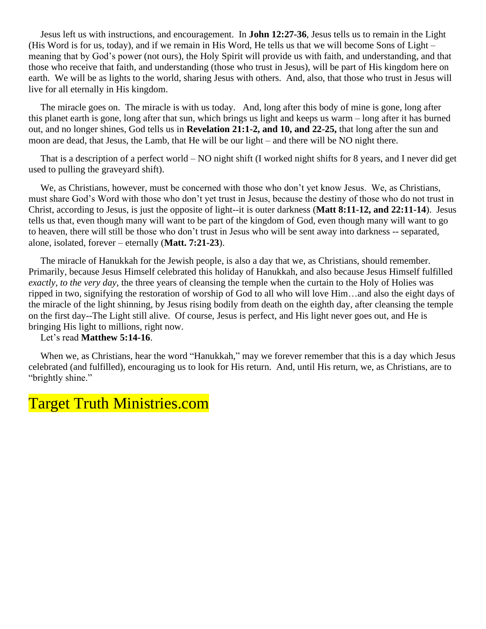Jesus left us with instructions, and encouragement. In **John 12:27-36**, Jesus tells us to remain in the Light (His Word is for us, today), and if we remain in His Word, He tells us that we will become Sons of Light – meaning that by God's power (not ours), the Holy Spirit will provide us with faith, and understanding, and that those who receive that faith, and understanding (those who trust in Jesus), will be part of His kingdom here on earth. We will be as lights to the world, sharing Jesus with others. And, also, that those who trust in Jesus will live for all eternally in His kingdom.

 The miracle goes on. The miracle is with us today. And, long after this body of mine is gone, long after this planet earth is gone, long after that sun, which brings us light and keeps us warm – long after it has burned out, and no longer shines, God tells us in **Revelation 21:1-2, and 10, and 22-25,** that long after the sun and moon are dead, that Jesus, the Lamb, that He will be our light – and there will be NO night there.

 That is a description of a perfect world – NO night shift (I worked night shifts for 8 years, and I never did get used to pulling the graveyard shift).

 We, as Christians, however, must be concerned with those who don't yet know Jesus. We, as Christians, must share God's Word with those who don't yet trust in Jesus, because the destiny of those who do not trust in Christ, according to Jesus, is just the opposite of light--it is outer darkness (**Matt 8:11-12, and 22:11-14**). Jesus tells us that, even though many will want to be part of the kingdom of God, even though many will want to go to heaven, there will still be those who don't trust in Jesus who will be sent away into darkness -- separated, alone, isolated, forever – eternally (**Matt. 7:21-23**).

 The miracle of Hanukkah for the Jewish people, is also a day that we, as Christians, should remember. Primarily, because Jesus Himself celebrated this holiday of Hanukkah, and also because Jesus Himself fulfilled *exactly, to the very day*, the three years of cleansing the temple when the curtain to the Holy of Holies was ripped in two, signifying the restoration of worship of God to all who will love Him…and also the eight days of the miracle of the light shinning, by Jesus rising bodily from death on the eighth day, after cleansing the temple on the first day--The Light still alive. Of course, Jesus is perfect, and His light never goes out, and He is bringing His light to millions, right now.

Let's read **Matthew 5:14-16**.

 When we, as Christians, hear the word "Hanukkah," may we forever remember that this is a day which Jesus celebrated (and fulfilled), encouraging us to look for His return. And, until His return, we, as Christians, are to "brightly shine."

## Target Truth Ministries.com